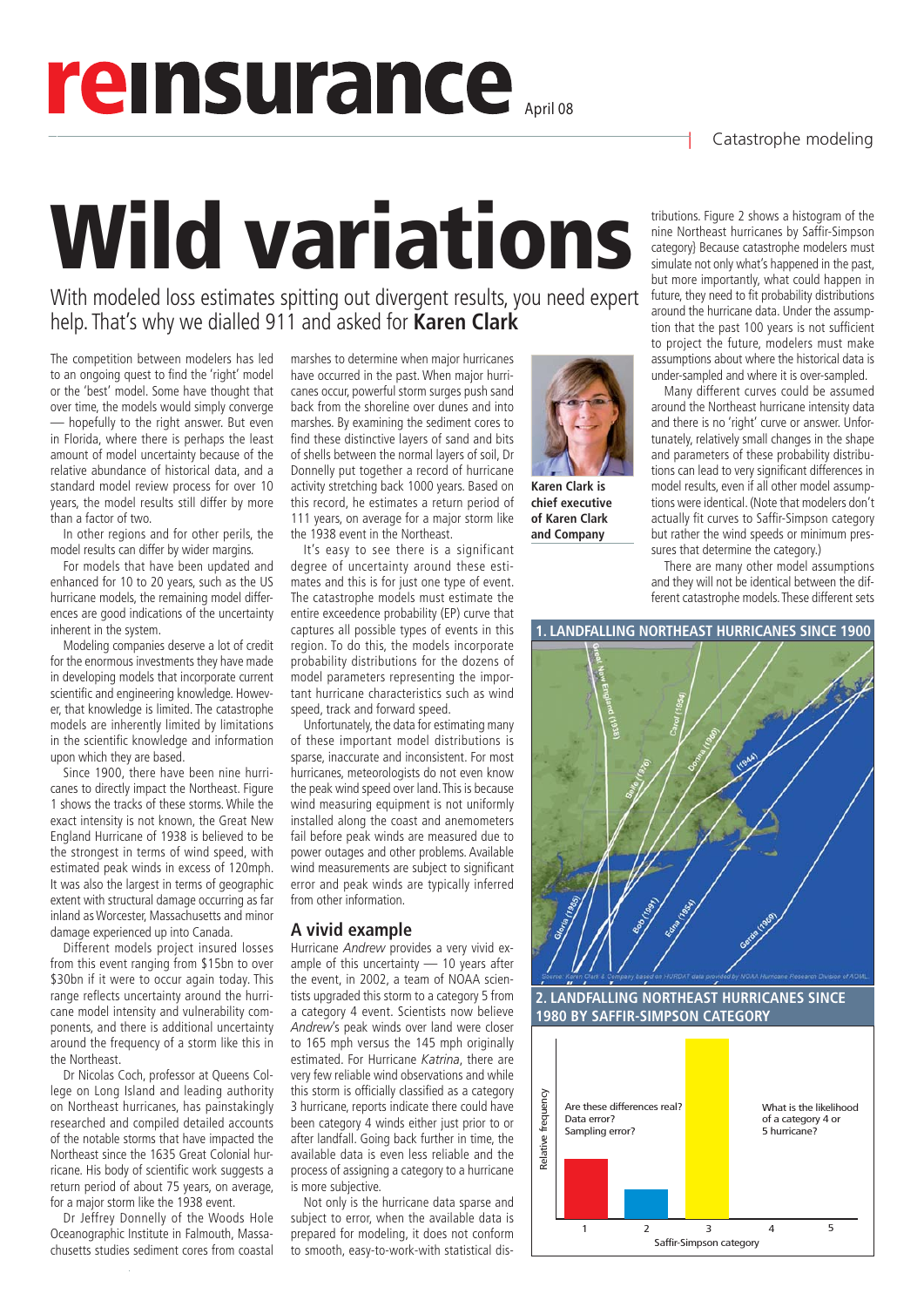## | Catastrophe modeling

# reinsurance

Wild variations

With modeled loss estimates spitting out divergent results, you need expert help. That's why we dialled 911 and asked for **Karen Clark** 

The competition between modelers has led to an ongoing quest to find the 'right' model or the 'best' model. Some have thought that over time, the models would simply converge hopefully to the right answer. But even in Florida, where there is perhaps the least amount of model uncertainty because of the relative abundance of historical data, and a standard model review process for over 10 years, the model results still differ by more than a factor of two.

In other regions and for other perils, the model results can differ by wider margins.

For models that have been updated and enhanced for 10 to 20 years, such as the US hurricane models, the remaining model differences are good indications of the uncertainty inherent in the system.

Modeling companies deserve a lot of credit for the enormous investments they have made in developing models that incorporate current scientific and engineering knowledge. However, that knowledge is limited. The catastrophe models are inherently limited by limitations in the scientific knowledge and information upon which they are based.

Since 1900, there have been nine hurricanes to directly impact the Northeast. Figure 1 shows the tracks of these storms. While the exact intensity is not known, the Great New England Hurricane of 1938 is believed to be the strongest in terms of wind speed, with estimated peak winds in excess of 120mph. It was also the largest in terms of geographic extent with structural damage occurring as far inland as Worcester, Massachusetts and minor damage experienced up into Canada.

Different models project insured losses from this event ranging from \$15bn to over \$30bn if it were to occur again today. This range reflects uncertainty around the hurricane model intensity and vulnerability components, and there is additional uncertainty around the frequency of a storm like this in the Northeast.

Dr Nicolas Coch, professor at Queens College on Long Island and leading authority on Northeast hurricanes, has painstakingly researched and compiled detailed accounts of the notable storms that have impacted the Northeast since the 1635 Great Colonial hurricane. His body of scientific work suggests a return period of about 75 years, on average, for a major storm like the 1938 event.

Dr Jeffrey Donnelly of the Woods Hole Oceanographic Institute in Falmouth, Massachusetts studies sediment cores from coastal marshes to determine when major hurricanes have occurred in the past. When major hurricanes occur, powerful storm surges push sand back from the shoreline over dunes and into marshes. By examining the sediment cores to find these distinctive layers of sand and bits of shells between the normal layers of soil, Dr Donnelly put together a record of hurricane activity stretching back 1000 years. Based on this record, he estimates a return period of 111 years, on average for a major storm like the 1938 event in the Northeast.

It's easy to see there is a significant degree of uncertainty around these estimates and this is for just one type of event. The catastrophe models must estimate the entire exceedence probability (EP) curve that captures all possible types of events in this region. To do this, the models incorporate probability distributions for the dozens of model parameters representing the important hurricane characteristics such as wind speed, track and forward speed.

Unfortunately, the data for estimating many of these important model distributions is sparse, inaccurate and inconsistent. For most hurricanes, meteorologists do not even know the peak wind speed over land. This is because wind measuring equipment is not uniformly installed along the coast and anemometers fail before peak winds are measured due to power outages and other problems. Available wind measurements are subject to significant error and peak winds are typically inferred from other information.

#### **A vivid example**

Hurricane *Andrew* provides a very vivid example of this uncertainty — 10 years after the event, in 2002, a team of NOAA scientists upgraded this storm to a category 5 from a category 4 event. Scientists now believe *Andrew*'s peak winds over land were closer to 165 mph versus the 145 mph originally estimated. For Hurricane *Katrina*, there are very few reliable wind observations and while this storm is officially classified as a category 3 hurricane, reports indicate there could have been category 4 winds either just prior to or after landfall. Going back further in time, the available data is even less reliable and the process of assigning a category to a hurricane is more subjective.

Not only is the hurricane data sparse and subject to error, when the available data is prepared for modeling, it does not conform to smooth, easy-to-work-with statistical dis-



**Karen Clark is chief executive of Karen Clark and Company**

tributions. Figure 2 shows a histogram of the nine Northeast hurricanes by Saffir-Simpson category} Because catastrophe modelers must simulate not only what's happened in the past, but more importantly, what could happen in future, they need to fit probability distributions around the hurricane data. Under the assumption that the past 100 years is not sufficient to project the future, modelers must make assumptions about where the historical data is under-sampled and where it is over-sampled.

Many different curves could be assumed around the Northeast hurricane intensity data and there is no 'right' curve or answer. Unfortunately, relatively small changes in the shape and parameters of these probability distributions can lead to very significant differences in model results, even if all other model assumptions were identical. (Note that modelers don't actually fit curves to Saffir-Simpson category but rather the wind speeds or minimum pressures that determine the category.)

There are many other model assumptions and they will not be identical between the different catastrophe models. These different sets

### **1. LANDFALLING NORTHEAST HURRICANES SINCE 1900**



**2. LANDFALLING NORTHEAST HURRICANES SINCE 1980 BY SAFFIR-SIMPSON CATEGORY**